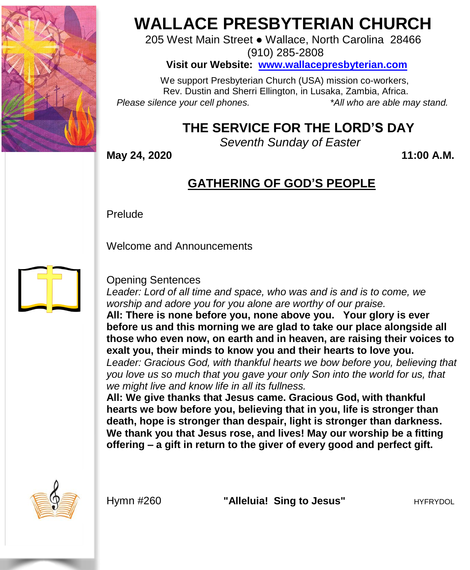

# **WALLACE PRESBYTERIAN CHURCH**

205 West Main Street ● Wallace, North Carolina 28466 (910) 285-2808

**Visit our Website: [www.wallacepresbyterian.com](http://www.wallacepresbyterian.com/)**

 We support Presbyterian Church (USA) mission co-workers, Rev. Dustin and Sherri Ellington, in Lusaka, Zambia, Africa. *Please silence your cell phones. \*All who are able may stand.*

# **THE SERVICE FOR THE LORD'S DAY**

*Seventh Sunday of Easter*

**May 24, 2020 11:00 A.M.**

# **GATHERING OF GOD'S PEOPLE**

Prelude

Welcome and Announcements



Opening Sentences

*Leader: Lord of all time and space, who was and is and is to come, we worship and adore you for you alone are worthy of our praise.*  **All: There is none before you, none above you. Your glory is ever before us and this morning we are glad to take our place alongside all those who even now, on earth and in heaven, are raising their voices to exalt you, their minds to know you and their hearts to love you.** *Leader: Gracious God, with thankful hearts we bow before you, believing that*

*you love us so much that you gave your only Son into the world for us, that we might live and know life in all its fullness.* 

**All: We give thanks that Jesus came. Gracious God, with thankful hearts we bow before you, believing that in you, life is stronger than death, hope is stronger than despair, light is stronger than darkness. We thank you that Jesus rose, and lives! May our worship be a fitting offering – a gift in return to the giver of every good and perfect gift.** 



Hymn #260 **"Alleluia! Sing to Jesus"** HYFRYDOL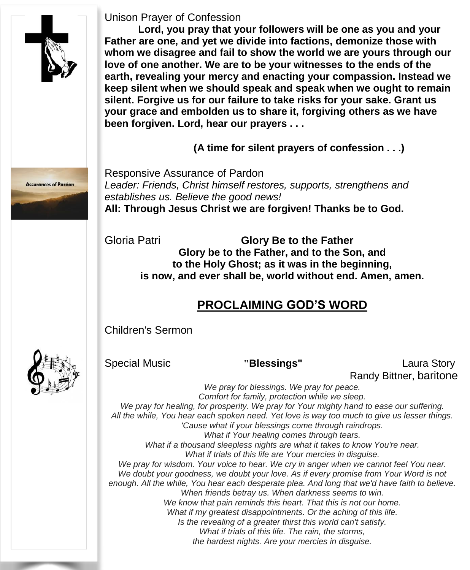

#### Unison Prayer of Confession

**Lord, you pray that your followers will be one as you and your Father are one, and yet we divide into factions, demonize those with whom we disagree and fail to show the world we are yours through our love of one another. We are to be your witnesses to the ends of the earth, revealing your mercy and enacting your compassion. Instead we keep silent when we should speak and speak when we ought to remain silent. Forgive us for our failure to take risks for your sake. Grant us your grace and embolden us to share it, forgiving others as we have been forgiven. Lord, hear our prayers . . .**

**(A time for silent prayers of confession . . .)**



Responsive Assurance of Pardon *Leader: Friends, Christ himself restores, supports, strengthens and establishes us. Believe the good news!* **All: Through Jesus Christ we are forgiven! Thanks be to God.**

Gloria Patri **Glory Be to the Father Glory be to the Father, and to the Son, and to the Holy Ghost; as it was in the beginning, is now, and ever shall be, world without end. Amen, amen.**

## **PROCLAIMING GOD'S WORD**

Children's Sermon



Special Music **"Blessings"** Laura Story Randy Bittner, baritone

*We pray for blessings. We pray for peace. Comfort for family, protection while we sleep. We pray for healing, for prosperity. We pray for Your mighty hand to ease our suffering.* All the while, You hear each spoken need. Yet love is way too much to give us lesser things. *'Cause what if your blessings come through raindrops. What if Your healing comes through tears. What if a thousand sleepless nights are what it takes to know You're near. What if trials of this life are Your mercies in disguise. We pray for wisdom. Your voice to hear. We cry in anger when we cannot feel You near. We doubt your goodness, we doubt your love. As if every promise from Your Word is not enough. All the while, You hear each desperate plea. And long that we'd have faith to believe. When friends betray us. When darkness seems to win. We know that pain reminds this heart. That this is not our home. What if my greatest disappointments. Or the aching of this life. Is the revealing of a greater thirst this world can't satisfy. What if trials of this life. The rain, the storms, the hardest nights. Are your mercies in disguise.*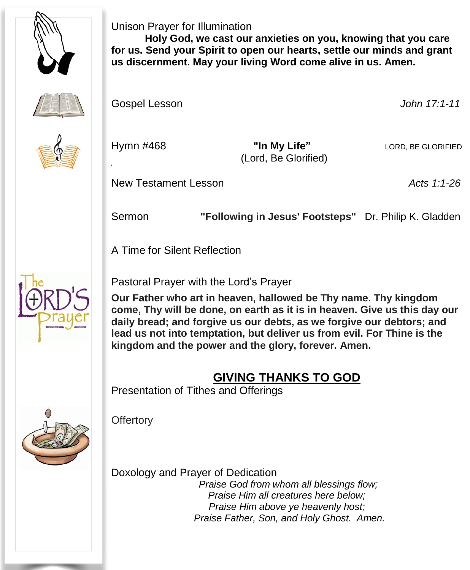

Unison Prayer for Illumination

**Holy God, we cast our anxieties on you, knowing that you care for us. Send your Spirit to open our hearts, settle our minds and grant us discernment. May your living Word come alive in us. Amen.**



Gospel Lesson *John 17:1-11*



**Hymn #468** 

**"In My Life"** LORD, BE GLORIFIED (Lord, Be Glorified)

New Testament Lesson *Acts 1:1-26*

Sermon **"Following in Jesus' Footsteps"** Dr. Philip K. Gladden

A Time for Silent Reflection



Pastoral Prayer with the Lord's Prayer

**Our Father who art in heaven, hallowed be Thy name. Thy kingdom come, Thy will be done, on earth as it is in heaven. Give us this day our daily bread; and forgive us our debts, as we forgive our debtors; and lead us not into temptation, but deliver us from evil. For Thine is the kingdom and the power and the glory, forever. Amen.**

### **GIVING THANKS TO GOD**

Presentation of Tithes and Offerings



**Offertory** 

Doxology and Prayer of Dedication *Praise God from whom all blessings flow; Praise Him all creatures here below; Praise Him above ye heavenly host; Praise Father, Son, and Holy Ghost. Amen.*